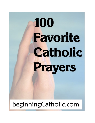# 100 **Favorite** Catholic Prayers

# beginningCatholic.com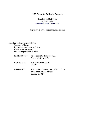#### **100 Favorite Catholic Prayers**

Selected and Edited by Michael Stapp [www.beginningCatholic.com](http://www.beginningCatholic.com/)

Copyright © 2006, beginningCatholic.com

Selected and re-published from: Treasury of Prayer by Lawrence G. Lovasik, S.V.D. Divine Word Missionary Previously published in 1954

- IMPRIMI POTEST: Rev. Robert C. Hunter, S.V.D. Provincial, Girard, PA
- NIHIL OBSTAT: A.H. Wiersbinski, LL.D. Censor
- IMPRIMATUR: ✠ John Mark Gannon, D.D., D.C.L., LL.D. Archbishop, Bishop of Erie October 5, 1954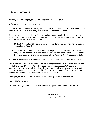# **Editor's Foreword**

Written, or *formulaic* prayers, are an outstanding school of prayer.

In following them, we learn how to pray.

The Our Father is the best example, the "most perfect of prayers" (Catechism, 2773). Christ himself gave it to us, saying "Pray then like this: Our Father..." (Mt 6:9)

Jesus gave us much more than a simple formula to repeat mechanically. "As in every vocal prayer, it is through the Word of God that the Holy Spirit teaches the children of God to pray to their Father." (Catechism, 2766)

- St. Paul: "...The Spirit helps us in our weakness; for we do not know how to pray as we ought...." (Rom 8:26)
- The Psalms themselves are beautiful written prayers. Inspired by the Holy Spirit, they are "the book in which The Word of God becomes man's prayer.... The Psalms both nourished and expressed the prayer of the People of God." (Catechism, 2586)

And that is why we use written prayers: they nourish and express our individual prayers.

This collection of prayers is a small sampling of the great treasure of written prayers from the Catholic Church's long history. This eBook is a special beginningCatholic.com republication of prayers from Father Lovasik's vast treasury of written prayers. I've selected some of the most popular prayers for this eBook, as well as some of the most useful for beginning Catholics and those looking to deepen their faith.

These prayers have been beloved and used by many generations of Catholics.

Please, **USE** these prayers!

Let them teach you, and let them lead you in raising your heart and soul to the Lord.

Michael Stapp beginningCatholic.com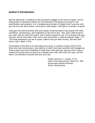## **Author's Introduction**

God has appointed, in addition to the Sacraments, **prayer** as the source of grace. He has made prayer an absolute condition for the bestowal of the graces you need for your sanctification and salvation. It is a fundamental principle of religion that if you pray well, you will live well. Much prayer, much grace; little prayer, little grace; no prayer, no grace.

Jesus gave His solemn promise that your prayers would be heard if you prayed with faith, confidence, perseverance, and resignation to the will of God. "Ask, and it shall be given you; seek, and you shall find; knock, and it shall be opened to you. For everyone who asks, receives; and he who seeks, finds; and to him who knocks, it shall be opened" (Matt. 7:7). "All things whatsoever you ask in prayer, believe that you shall receive, and they shall come to you" (Mark 11:24).

The purpose of this book is to encourage you to pray. It contains a large variety of the finest and most loved prayers, the majority of which have been enriched with indulgences. These prayers have been simplified to make them more personal. May you find in them a treasury of richest graces to help you to deepen your union with God, Our Lady, and the Saints, and thereby to sanctify and save your soul.

> Father Lawrence C. Lovasik, S.V.D. Feast of the Annunciation, March 25, 1954 Sacred Heart Mission Seminary Girard, Pennsylvania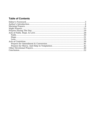# **Table of Contents**

| Love. 32 |  |
|----------|--|
|          |  |
|          |  |
|          |  |
|          |  |
|          |  |
|          |  |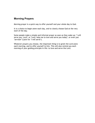# **Morning Prayers**

Morning prayer is a quick way to offer yourself and your whole day to God.

It is a choice to begin anew each day, and to clearly choose God at the very start of the day.

Some people make a simple and informal prayer as soon as they wake up: "I will serve you, Lord"; or "Lord, help me to love and serve you today"; or even just "*serviam*" (Latin for "I will serve").

Whatever prayers you choose, the important thing is to greet the Lord anew each morning, and to offer yourself to him. This will also remind you each morning of your guiding principle in life: to love and serve the Lord.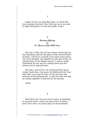Angel of God, my guardian dear, to whom His love commits me here, Ever this day be at my side, to light and guard, to rule and guide. Amen.

### *2 Morning Offering of St. Therese of the Child Jesus*

My God, I offer You all my actions of this day for the intentions and for the glory of the Sacred Heart of Jesus. I desire to sanctify every beat of my heart, my every thought, my simplest words and works, by uniting them to Its infinite merits. I wish to make reparation for my sins by casting them into the furnace of Its merciful love.

My God, I ask of You, for myself and for those whom I hold dear, the grace to fulfill perfectly Your holy Will, to accept for love of You the joys and sorrows of this passing life, so that we may one day be united together in heaven for all eternity.

Amen.

*3*

Merciful Lord, You are never weary of speaking to my poor heart. Grant me grace that, if today I hear Your voice, my heart may not be hardened.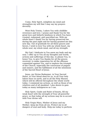Come, Holy Spirit, enlighten my mind and strengthen my will that I may say my prayers devoutly.

Most Holy Trinity, I adore You with childlike reverence and love. I praise and thank You for the great love and fatherly kindness in which You have created, redeemed, and sanctified me. With my whole heart I thank You for having preserved me during the past night and for having granted me this new day. Out of gratitude for all these graces and favors, I wish to love You with my whole heart, my whole soul, my whole mind, and all my strength.

My God, I dedicate to You anew my body and my soul. I offer up to You all my thoughts and words, actions and sufferings of this day, to please You, to honor You, to give You thanks for all the graces received, to make reparation for all the offenses committed against You, and to implore the triumph of the Church, especially the conversion of pagans and sinners, and the fulfillment of all the intentions of the Sacred Heart of Jesus.

Jesus, my Divine Redeemer, in Your Sacred Heart, in Your blood shed for us, in all Your holy labors here on earth, and in all the Holy Masses which will be offered throughout the whole world today, I commend my actions, as well as those of my relatives and of all mankind. I also desire to gain today as many indulgences as I can.

Holy Spirit, Guide and Ruler of hearts, fill my weak heart with the strength of Your all-powerful grace, so that today all my actions may be in accord with Your divine will.

Holy Virgin Mary, Mother of Jesus and my Mother, keep me from all sin. Protect me in all dangers of soul and body. Help me today to perform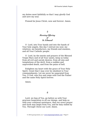my duties most faithfully so that I may glorify God and save my soul.

Praised be Jesus Christ, now and forever. Amen.

#### *5 Morning Offering of St. Edmund*

O Lord, into Your hands and into the hands of Your holy angels, this day I entrust my soul, my relatives, my benefactors, my friends and enemies, and all Your Catholic people.

O Lord, by the merits and prayers of the Blessed Virgin Mary and of all Your saints, keep us today from all evil and unruly desires, from all sins and temptations of the devil, from a sudden and unprovided death, and from the pains of hell.

Enlighten my heart with the grace of Your Holy Spirit. Grant that I may ever be obedient to Your commandments. Let me never be separated from You, O God, who live and reign with God the Father and the same Holy Spirit forever.

Amen.

*6*

Lord, we beg of You, go before us with Your gracious Inspiration in all our doings, and help us with your continual assistance, that our every prayer and work may begin from You, and be duly ended by You. Through Christ our Lord. Amen.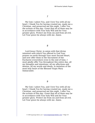My God, I adore You, and I love You with all my heart. I thank You for having created me, made me a Christian, and preserved me this night. I offer You the actions of this day. Grant that all of them may be in accordance with Your holy Will and for Your greater glory. Protect me from sin and from all evil. Let Your grace be always with me. Amen.

Lord Jesus Christ, in union with that divine intention with which You offered to God Your praises on earth through Your most Sacred Heart, and now offer them in the Sacrament of the Eucharist everywhere even to the end of time, I most gladly offer You throughout this entire day, all my thoughts and intentions, all my affections and desires, all my words and deeds, in imitation of the most holy heart of the Blessed Virgin Mary Immaculate.

*9*

My God, I adore You, and I love You with all my heart. I thank You for having created me, made me a Christian, and preserved me this night. I offer You the actions of this day. Grant that all of them may be in accordance with Your holy Will and for Your greater glory. Protect me from sin and from all evil. Let Your grace be always with me. Amen.

*<sup>8</sup>*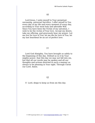Lord Jesus, I unite myself to Your perpetual, unceasing, universal Sacrifice. I offer myself to You every day of my life and every moment of every day, according to Your most holy and adorable Will. Since You have been the Victim of my salvation, I wish to be the victim of Your love. Accept my desire, take my offering, and graciously hear my prayer. Let me live for love of You; let me die for love of You; let my last heartbeat be an act of perfect love.

#### *11*

Lord God Almighty, You have brought us safely to the beginning of this day. Defend us in it by Your mighty power, that this day we may not fall into sin, but that all our words may be spoken and all our thoughts and actions directed in such a manner as always to be pleasing in Your sight. Through Christ our Lord. Amen.

#### *12*

O Lord, deign to keep us from sin this day.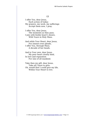I offer You, dear Jesus, Each action of today: My prayers, my work, my sufferings Accept them now, I pray.

I offer You, dear Jesus, The moments as they pass; I join with feeble heart's desire, With Yours in Holy Mass.

And while Your Heart, dear Jesus, For sinners ever pleads, I offer You, through Mary, A decade of her beads.

And to Your own, dear Jesus, My poor heart closely bind, In love and reparation For sins of all mankind.

Take then my gift, dear Jesus, Take all I have to give; Oh, would that I could give my life, Within Your Heart to live.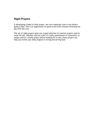# **Night Prayers**

In developing a habit of daily prayer, one very important time is just before going to bed. This is an opportunity to spend a few brief minutes reviewing the day with the Lord.

This set of night prayers gives you a good selection of common prayers used to close the day. Whether used as a part of a daily examination of conscience, or simply used as a family prayer before heading off to bed, these prayers can help you review your daily progress in loving and serving God.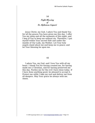#### *Night Blessing of St. Alphonsus Liguori*

Jesus Christ, my God, I adore You and thank You for all the graces You have given me this day. I offer You my sleep and all the moments of this night, and I beg of You to keep me without sin. Therefore, I put myself within Your sacred Side and under the mantle of Our Lady, my Mother. Let Your holy angels stand about me and keep me in peace; and let Your blessing be upon me.

#### *15*

I adore You, my God, and I love You with all my heart. I thank You for having created me, for having made me a Christian, and for having preserved me this day. Pardon me for the evil I have done today. If I have done anything good, be pleased to accept it. Protect me while I take my rest and deliver me from all dangers. May Your grace be always with me. Amen.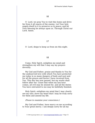O Lord, we pray You to visit this home and drive far from it all snares of the enemy. Let Your holy angels dwell in it to preserve us in peace; and let Your blessing be always upon us. Through Christ our Lord. Amen.

#### *17*

O Lord, deign to keep us from sin this night.

#### *18*

Come, Holy Spirit, enlighten my mind and strengthen my will that I may say my prayers devoutly.

My God and Father, praise and thanks to You for the undeserved love with which You have protected me today in so many dangers of body and soul and for all the graces and favors I have received from You. This day has now passed, but my works shall follow after me. Grant that when my last hour comes, all evil may be atoned for, and all the duties You have entrusted to me may be faithfully finished.

Holy Spirit, enlighten my mind that I may clearly see my sins; move my heart that I may be truly sorry for them and amend my life.

(Pause to examine your conscience.)

My God and Father, have mercy on me according to Your great mercy. I am deeply sorry for all my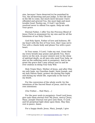sins, because I have deserved to) be punished by You, the all-knowing and just Judge, in this life and in the life to come, but much more because I have offended and grieved You, the most high and most lovable Good. Pardon me, O God! I am firmly resolved never to offend You again. Help me with Your grace.

Eternal Father, I offer You the Precious Blood of Jesus Christ in atonement for my sins and for all the intentions of our Holy Church.

God Holy Spirit, Father of love and holiness, fill my heart with the fire of Your love, that I may serve You with a chaste body and please You with a pure heart.

In Your name, O Lord, I take my rest. Grant that my every breath may praise and glorify You. Have mercy on the sick, on poor sinners now in the sleep of spiritual death, on all men who need Your help, as also on the suffering souls in purgatory. And to me grant the grace that I may always rest in and be ever zealous in doing Your holy Will.

Holy Virgin Mary, Mother of Jesus, and after Him my only hope, my Guardian Angel, Saint Joseph, and my holy Patron Saint, protect me during this night and during my whole life, especially in the hour of my death.

For the conversion of the whole world, for the intentions of the Sacred Heart of Jesus, and for my own intentions:

(Our Father.... Hail Mary....)

For the poor souls in purgatory: Good Lord Jesus, give unto them eternal rest! My Jesus, mercy! Jesus, Mary, Joseph! Eternal rest give unto them, O Lord, and let perpetual light shine upon them. May they rest in peace. Amen.

For a happy death: Jesus, Mary, Joseph, I give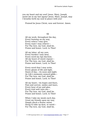you my heart and my soul! Jesus, Mary, Joseph, assist me in my last agony! Jesus, Mary, Joseph, may I breathe forth my soul in peace with you!

Praised be Jesus Christ, now and forever. Amen.

#### *19*

All my work, throughout the day, Every footstep on my way, Every solace I may give, Every want I may relieve— For Thy love, my God, shall be, Praise and honor, Lord, to Thee!

All my labor, all my care, Every burden I may bear, Every word my lips disclose, All my hours of sweet repose— For Thy love, my God, shall be, Praise and honor, Lord, to Thee!

Every word that I may write, Every gleam of life and light, Dawn of day,—its noon and night, As Life's moments onward glide— For Thy love, my God, shall be, Praise and honor, Lord, to Thee!

All my heart,—its hopes and fears, Pain and sorrow, smiles and tears, Every hour of joy and glee, Every trial sent unto me— For Thy love, my God, shall be, Praise and honor, Lord, to Thee!

When I take my meals each day, Greet my friends upon my way, Simply pluck a flower sweet, Stoop to take up dust, or weed— For Thy love, my God, shall be,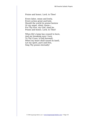#### Praise and honor, Lord, to Thee!

Every labor, mean and lowly, Every action great and holy, Should the world its praise bestow Or my angel, silent, know— For Thy love, my God, shall be, Praise and honor, Lord, to Thee!

When life's lamp has ceased to burn, And my breaking eyes I turn To Thy Cross, to bid farewell; When my heart shall sound its knell, Let my spirit, pure and free, Sing Thy praise eternally!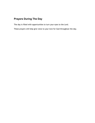# **Prayers During The Day**

The day is filled with opportunities to turn your eyes to the Lord.

These prayers will help give voice to your love for God throughout the day.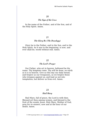#### *The Sign of the Cross*

In the name of the Father, and of the Son, and of the Holy Spirit. Amen.

#### *21*

#### *The Glory Be (The Doxology)*

Glory be to the Father, and to the Son, and to the Holy Spirit. As it was in the beginning, is now, and ever shall be, world without end. Amen.

#### *22*

#### *The Lord's Prayer*

Our Father, who art in heaven, hallowed be thy name. Thy kingdom come. Thy will be done, on earth as it is in heaven. Give us this day our daily bread; and forgive us our trespasses, as we forgive those who trespass against us; and lead us not into temptation, but deliver us from evil. Amen.

#### *23*

#### *Hail Mary*

Hail Mary, full of grace, the Lord is with thee. Blessed art thou among women, and blessed is the fruit of thy womb, Jesus. Holy Mary, Mother of God, pray for us sinners, now and at the hour of our death. Amen.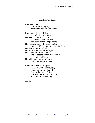#### *The Apostles' Creed*

I believe in God, the Father almighty, creator of heaven and earth.

I believe in Jesus Christ, his only Son, our Lord. He was conceived by the power of the Holy Spirit and born of the Virgin Mary. He suffered under Pontius Pilate, was crucified, died, and was buried. He descended into hell. On the third day he rose again. He ascended into heaven and is seated at the right hand of the Father. He will come again to judge the living and the dead.

I believe in the Holy Spirit, the holy Catholic Church, the communion of saints, the forgiveness of sins, the resurrection of the body, and the life everlasting.

Amen.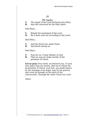#### *The Angelus*

- **V.** The Angel of the Lord declared unto Mary.
- **R.** And she conceived by the Holy Spirit.

Hail Mary...

- **V.** Behold the handmaid of the Lord.
- **R.** Be it done unto me according to thy word.

Hail Mary...

- **V.** And the Word was made Flesh.
- **R.** And dwelt among us.

Hail Mary...

- **V.** Pray for us, O holy Mother of God.
- **R.** That we may be made worthy of the promises of Christ.

**Let us pray:** Pour forth, we beseech you, O Lord, your grace into our hearts, that we to whom the incarnation of Christ, your Son, was made known by the message of an angel, may by his passion and cross be brought to the glory of his resurrection. Through the same Christ our Lord.

Amen.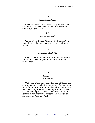#### *Grace Before Meals*

Bless us, O Lord, and these Thy gifts which we are about to receive from Thy bounty. Through Christ our Lord. Amen.

#### *27*

#### *Grace After Meals*

We give You thanks, Almighty God, for all Your benefits, who live and reign, world without end. Amen.

#### *28*

#### *Grace After Meals (2)*

May it please You, O Lord, to reward with eternal life all those who do good to us for Your Name's sake. Amen.

#### *29*

#### *Prayer of St. Ignatius*

O Eternal Word, only-begotten Son of God, I beg of You, teach me to be truly generous. Teach me to serve You as You deserve, to give without counting the cost, to fight without heeding wounds, to labor without seeking rest, to sacrifice myself without looking for any reward except the knowledge of having done Your holy Will.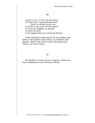I pray to you, O God, for the grace: To keep your commandments and never to offend you by sin;

To listen to the voice of your grace;

To love my neighbor as myself;

To save my soul;

To be happy with you in heaven forever.

I also ask these same graces for my mother and father, my brothers and sisters, my relatives and friends, and for the whole world, through Jesus Christ, our Lord. Amen.

#### *31*

Be mindful, O Lord, of your creature, whom you have redeemed by your Precious Blood.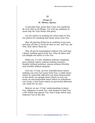#### *Prayer of St. Thomas Aquinas*

O merciful God, grant that I may ever perfectly do Your Will in all things. Let it be my ambition to work only for Your honor and glory.

Let me rejoice in nothing but what leads to You, nor grieve for anything that leads away from You.

May all passing things be as nothing in my eyes, and may all that is Yours be dear to me, and You, my God, dear above them all.

May all joy be meaningless without You and may I desire nothing apart from You. May all labor and toil delight me when it is for You.

Make me, O Lord, obedient without complaint, poor without regret, patient without murmur, humble without pretense, joyous without frivolity, and truthful without disguise.

Give me, O God, an ever watchful heart which nothing can ever lure away from You; a noble heart, which no unworthy affection can draw downwards to the earth; an upright heart which no evil can warp; an unconquerable heart which no tribulation can crush; a free heart which no perverted affection can claim for its own.

Bestow on me, O God, understanding to know You, diligence to seek You, and wisdom to find You; a life which may please You, and a hope which may embrace You at the last.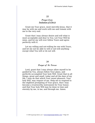#### *Prayer from Imitation of Christ*

Grant me Your grace, most merciful Jesus, that it may be with me and work with me and remain with me to the very end.

Grant that I may always desire and will what is most acceptable and dear to You. Let Your Will be mine, and let my will ever follow Yours and agree perfectly with it.

Let my willing and not-willing be one with Yours, and let me not be able to will or not-will anything except what You will or do not will.

#### *34*

#### *Prayer of St. Teresa*

Lord, grant that I may always allow myself to be guided by You, always follow Your plans, and perfectly accomplish Your holy Will. Grant that in all things, great and small, today and all the days of my life, I may do that which Your sweet pleasure, Your holy Will, may require of me. Help me to respond to the slightest prompting of Your grace, that I may become a trustworthy instrument for Your honor, and that Your holy Will may be done in time and eternity by me, in me, and through me. Amen.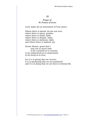#### *Prayer of St. Francis of Assisi*

Lord, make me an instrument of Your peace.

Where there is hatred, let me sow love; where there is injury, pardon; where there is doubt, faith; where there is despair, hope; where there is darkness, light; and where there is sadness, joy.

Divine Master, grant that I may not so much seek to be consoled as to console; to be understood as to understand; to be loved as to love;

for it is in giving that we receive; it is in pardoning that we are pardoned; and it is in dying that we are born to eternal life.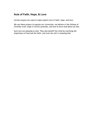# **Acts of Faith, Hope, & Love**

Certain prayers are used to make explicit *acts* of faith, hope, and love.

We use these prayers to express our conversion: we believe in the fullness of Christian truth, hope in Christ's promises, and love & serve God above all else.

Such acts are pleasing to God. They also benefit the mind by clarifying the importance of God and the faith, and train the will in choosing God.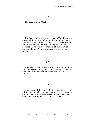My Lord and my God!

#### *37*

My God, I believe in You, I hope in You, I love you above all things with all my soul, with all my heart, and with all my strength. I love You because You are infinitely good and worthy of being loved; and because I love You, I repent with all my heart of having offended You. Have mercy on me, a sinner. Amen.

#### *38*

I believe in You, I hope in You, I love You, I adore You, O Blessed Trinity, one God. Have mercy on me now and at the hour of my death and save me. Amen.

#### *39*

Almighty and Eternal God, give us an increase of faith, hope and charity; and, that we may deserve to obtain what You promise, make us love what You command. Through Christ our Lord. Amen.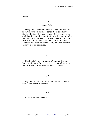#### *Faith*

#### *40*

#### *Act of Faith*

O my God, I firmly believe that You are one God in three Divine Persons, Father, Son, and Holy Spirit. I believe that Your Divine Son became Man, and died for our sins, and that He will come to judge the living and the dead. I believe these and all the truths which the Holy Catholic Church teaches, because You have revealed them, who can neither deceive nor be deceived.

#### *41*

Most Holy Trinity, we adore You and through Mary we implore You: give to all mankind unity in the faith and courage faithfully to profess it.

#### *42*

My God, make us to be of one mind in the truth and of one heart in charity.

#### *43*

Lord, increase our faith.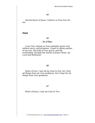Sacred Heart of Jesus, I believe in Your love for me.

#### *Hope*

#### *45*

#### *Act of Hope*

O my God, relying on Your almighty power and infinite mercy and promises, I hope to obtain pardon of my sins, the help of Your grace, and life everlasting, through the merits of Jesus Christ, my Lord and Redeemer.

#### *46*

Heart of love, I put all my trust in You; for I fear all things from my own weakness, but I hope for all things from Your goodness.

#### *47*

Heart of Jesus, I put my trust in You.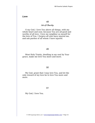#### *Love*

#### *48*

#### *Act of Charity*

O my God, I love You above all things, with my whole heart and soul, because You are all-good and worthy of all love. I love my neighbor as myself for the love of You. I forgive all who have injured me, and ask pardon of all whom I have injured.

#### *49*

Most Holy Trinity, dwelling in my soul by Your grace, make me love You more and more.

#### *50*

My God, grant that I may love You, and let the only reward of my love be to love You more and more.

*51*

My God, I love You.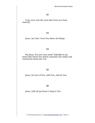O my soul, love the Love that loves you from eternity.

#### *53*

Jesus, my God, I love You above all things.

#### *54*

My Jesus, You are Love itself. Enkindle in my heart that divine fire which consumes the saints and transforms them into You.

#### *55*

Jesus, for love of You, with You, and for You.

#### *56*

Jesus, with all my heart I cling to You.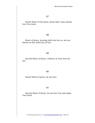Sweet Heart of my Jesus, grant that I may always love You more.

#### *58*

Heart of Jesus, burning with love for us, set our hearts on fire with love of You.

#### *59*

Sacred Heart of Jesus, I believe in Your love for me.

#### *60*

Sweet Heart of Jesus, be my love.

#### *61*

Sacred Heart of Jesus, let me love You and make You loved.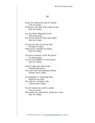Lord, for tomorrow and its needs I do not pray; Keep me, my God, from stain of sin, Just for today.

Let me both diligently work And duly pray; Let me be kind in word and deed, Just for today.

Let me be slow to do my will, Prompt to obey; Help me to mortify my flesh, Just for today.

Let me in season, Lord, be grave, In season gay; Let me be faithful to Your grace, Just for today.

And if today my tide of life Should ebb away, Give me Your Sacraments divine, Sweet Lord, today.

In Purgatory's cleansing fires Brief be my stay; Oh, bid me, if today I die, Come home today.

So for tomorrow and its needs, I do not pray; But guide me, guard me, keep me, Lord, Just for today.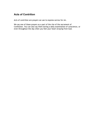# **Acts of Contrition**

Acts of contrition are prayers we use to express sorrow for sin.

We say one of these prayers as a part of the rite of the sacrament of Confession. You can also say them during a daily examination of conscience, or even throughout the day when you feel your heart straying from God.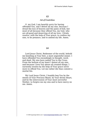#### *Act of Contrition*

O my God, I am heartily sorry for having offended You, and I detest all my sins, because I dread the loss of heaven and the pains of hell, but most of all because they offend You, my God, who are all-good and deserving of all my love. I firmly resolve, with the help of Your grace, to confess my sins, to do penance, and to amend my life. Amen.

#### *64*

Lord Jesus Christ, Redeemer of the world, behold me kneeling at Your feet, a most ungrateful sinner. I have offended You exceedingly in thought, word, and deed. My sins have nailed You to the Cross. From the bottom of my heart I detest all my sins, and because I love You above all created things, I earnestly resolve by the help of Your grace never more to offend You. Let me rather die than commit a mortal Sin.

My Lord Jesus Christ, I humbly beg You by the merits of Your Precious Blood, by Your divine Heart, and by the intercession of Your most sorrowful Mother, to forgive me my sins and to have mercy on me. Amen.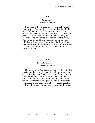#### *St. Jerome's Act of Contrition*

Show me, O Lord, Your mercy, and delight my heart with it. Let me find You whom I so longingly seek. Behold, here is the man whom the robbers seized, mishandled, and left half dead on the road to Jericho. Kind-hearted Samaritan, come to my aid! I am the sheep who wandered into the wilderness. Seek after me and bring me home again to Your fold. Do with me according to Your Will, that I may abide with You all the days of my life, and praise You with all those who are with You in heaven for all eternity. Amen.

#### *66*

#### *St. Alphonsus Liguori's Act of Contrition*

My God, I love You above all things. I hope by the merits and Passion of Jesus Christ to obtain pardon of my sins. I grieve from the bottom of my heart for having offended Your infinite goodness by them. I detest them more than all imaginable evils. I unite my grief for them to the grief by which Christ was oppressed in the Garden of Olives. I firmly resolve, by the help of Your grace, never more to offend You.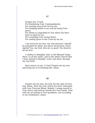Forgive me, O God, For disobeying Your Commandments, For turning away from You by sin, For bringing death to my soul by losing Your grace, For being so ungrateful to You when You have been so good to me, For wounding Your loving Heart, For nailing Jesus to the Cross by my sin.

I am sorry for my sins, not only because I should be punished for them, but above all because I have injured You, my God, who are so good. You deserve all my love.

I confess to Almighty God, to the Blessed Virgin Mary, to all the saints, and to the whole Church that I have sinned in thought, word, and deed, through my own fault.

Have mercy on me, O God! Forgive me my sins and bring me to everlasting life. Amen.

#### *68*

Forgive me my sins, my God, for the sake of Your holy Name. Save my soul, which You have redeemed with Your Precious Blood. Behold, I resign myself to Your mercy and entrust myself into Your hands. Deal with me according to Your goodness, not according to my wickedness. Amen.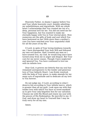Heavenly Father, in shame I appear before You and Your whole heavenly court, humbly admitting my unfaithfulness and ingratitude. With my whole heart I acknowledge that You created me out of a deep, personal love for me. You did not need me for Your happiness, but You wanted to make me eternally happy with You in Your eternal glory. How numerous are the gifts of body and soul which You have bestowed on me! With more than a mother's care You have watched over Your ungrateful child for all the years of my life.

O Lord, in spite of Your loving kindness towards me, I have disregarded Your holy Will and followed my own evil desires. Had I treated any man as I have treated You, my God, he would long since have turned away from me in anger and disgust. But Your care for me never ceases. Though I have neglected and ignored You, You have continued to love me with an infinite love.

Dear God, it grieves me bitterly that my soul has remained unresponsive to the tender and generous love of Your fatherly Heart. I am firmly resolved, with the help of Your grace, to make amends for my many acts of ingratitude and to dedicate all my love to You forever.

Do not judge me, O Lord, according to what I deserve but according to Your infinite mercy, which is greater than all my guilt. Look upon me with that tender love with which You have so loved mankind as to give Your only-begotten Son for our salvation. Cleanse me with His Blood and renew my soul with the graces of His Redemption. Be merciful to me, O God, and draw my heart to Yourself that I may be truly sorry for all my sins.

Amen.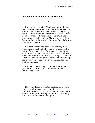#### *Prayers for Amendment & Conversion*

*70*

My Lord and my God, You know my weakness. I fail to do the good that I wish, but I do the evil that I do not wish. How often have I resolved to give up sin; yet I have fallen back into my evil ways! I have been too weak to fight against temptation and dangerous occasions of sin. My heart was divided between You and the world, between Your holy laws and my evil desires.

I cannot change the past, for it already rests in Your mercy, but I will labor more earnestly in the future for the salvation of my soul. You said that every tree that does not bear good fruit shall be cut down and cast into the fire. I am firmly resolved, O Lord, to avoid all dangerous occasions, to make up for my past sins, and to do away with all bitterness and unkindness.

My God, I leave the past to Your mercy, the present to Your love, and the future to Your Providence. Amen.

#### *71*

My loving Jesus, out of the grateful love I have for You, and to make reparation for my unfaithfulness to grace, I give You my heart, and I consecrate myself entirely to You. With Your help I am determined never to sin again.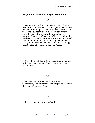#### *Prayers for Mercy, And Help In Temptation*

*72*

Help me, O Lord, for I am weak. Strengthen my resolutions and give me sufficient grace to overcome the evil promptings of my nature. Never permit me to wound You again by my sins. Refresh my soul that I may become strong in my determination to perform the duties of my state of life properly and fearlessly. Through Your divine grace, without which I can do nothing, help me to live a good life, die a happy death, save my immortal soul, and be happy with You for all eternity in heaven. Amen.

#### *73*

O Lord, do not deal with us according to our sins which we have committed, nor according to our wickedness.

#### *74*

O Lord, do not remember our former wickedness, and be merciful and forgive our sins for the sake of Your holy Name.

#### *75*

From all sin deliver me, O Lord.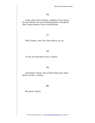Lord, I fear Your justice; I implore Your mercy. Do not deliver me to everlasting pains, but grant that I may possess You in eternal joys.

#### *77*

Holy Trinity, one God, have mercy on us.

#### *78*

O God, be merciful to me a sinner.

#### *79*

Lord Jesus Christ, Son of the living God, have mercy on me, a sinner.

*80*

My Jesus, mercy.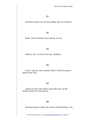Sweetest Jesus, be not my Judge, but my Saviour.

#### *82*

Jesus, Son of David, have mercy on me.

#### *83*

Deliver me, O Lord, from my enemies.

#### *84*

Lord, I am my own enemy when I seek my peace apart from You.

#### *85*

Lamb of God, who takes away the sins of the world, grant us Your peace.

#### *86*

Sweetest Jesus, hide me in Your Sacred Heart. Do

© 2006 beginningCatholic.com • [www.beginningCatholic.com](http://www.beginningCatholic.com/) • Page 44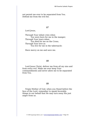not permit me ever to be separated from You. Defend me from the evil foe.

#### *87*

Lord Jesus,

Through Your infant cries when You were born for me in the manger; Through Your tears when You died for me on the Cross; Through Your love as You live for me in the tabernacle:

Have mercy on me and save me.

#### *88*

Lord Jesus Christ, deliver me from all my sins and from every evil. Make me ever keep Your commandments and never allow me to be separated from You.

#### *89*

Virgin Mother of God, when you Stand before the face of the Lord, remember to speak favorable things in our behalf that He may turn away His just anger from us.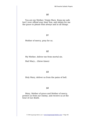You are my Mother, Virgin Mary. Keep me safe lest I ever offend your dear Son, and obtain for me the grace to please Him always and in all things.

#### *91*

Mother of mercy, pray for us.

#### *92*

My Mother, deliver me from mortal sin.

Hail Mary... (three times)

#### *93*

Holy Mary, deliver us from the pains of hell.

#### *94*

Mary, Mother of grace and Mother of mercy, protect us from our enemy, and receive us at the hour of our death.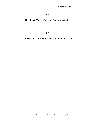Holy Mary, Virgin Mother of God, intercede for me.

*96*

Mary, Virgin Mother of God, pray to Jesus for me.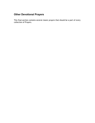# **Other Devotional Prayers**

This final section contains several classic prayers that should be a part of every collection of Prayers.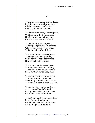Teach me, teach me, dearest Jesus, In Thine own sweet loving way, All the lessons of perfection I must practice day by day.

Teach me meekness, dearest Jesus, Of Thine own the Counterpart; Not in words and actions only, But the meekness of the heart.

Teach humility, sweet Jesus, To this poor proud heart of mine, Which yet wishes, O my Jesus, To be modeled after Thine.

Teach me fervor, dearest Jesus, To comply with every grace, So as never to look backwards, Never slacken in the race.

Teach me poverty, sweet Jesus, That my heart may never cling To whatever love might sever it From my Saviour and my King.

Teach me chastity, sweet Jesus, That my every day may see Something added to the likeness That my soul should bear to Thee.

Teach obedience, dearest Jesus, Such as was Thy daily food In Thy toilsome earthly journey From the cradle to the rood.

Teach Thy Heart to me, dear Jesus, Is my fervent final prayer; For all beauties and perfections Are in full perfection there.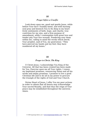#### *Prayer before a Crucifix*

Look down upon me, good and gentle Jesus, while before Your face I humbly kneel, and with burning soul pray and beseech You to fix deep in my heart lively sentiments of faith, hope, and charity, true contrition for my sins, and a firm purpose of amendment; while I contemplate with great love and tender pity Your five wounds, Pondering over them within me, calling to mind the words which David, Your prophet, said of You, my good Jesus: "They have pierced my hands and my feet; they have numbered all my bones."

#### *99*

#### *Prayer to Christ, The King*

O Christ Jesus, I acknowledge You King of the Universe. All that has been created has been made for You. Exercise upon me all Your rights. I renew my baptismal promises, renouncing Satan and all his works and empty promises. I promise to live a good Christian life and to do all in my power to procure the triumph of the rights of God and Your Church.

Divine Heart of Jesus, I offer You my poor actions in order to obtain that all hearts may acknowledge Your sacred Royalty, and that thus the reign of Your peace may be established throughout the universe. Amen.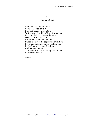#### *Anima Christi*

Soul of Christ, sanctify me. Body of Christ, save me. Blood of Christ, inebriate me. Water from the side of Christ, wash me. Passion of Christ, strengthen me. O Good Jesus, hear me. Within Your wounds hide me. Suffer me not to be separated from You. From the malicious enemy defend me. In the hour of my death call me. And bid me come to You, That with Your saints I may praise You, Forever and ever.

Amen.